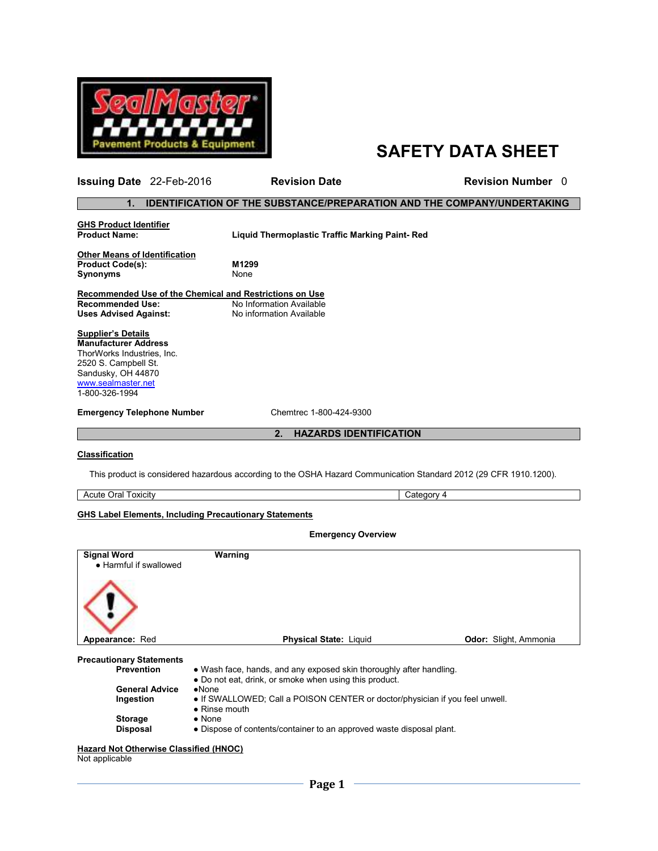

# **SAFETY DATA SHEET**

## **1. IDENTIFICATION OF THE SUBSTANCE/PREPARATION AND THE COMPANY/UNDERTAKING**

**GHS Product Identifier** 

**Liquid Thermoplastic Traffic Marking Paint- Red** 

**Issuing Date** 22-Feb-2016 **Revision Date** Revision Number 0

**Other Means of Identification Product Code(s): M1299 Synonyms** None

**Recommended Use of the Chemical and Restrictions on Use Recommended Use:** No Information Available<br>
Uses Advised Against: No information Available **Uses Advised Against:** No information Available

**Supplier's Details Manufacturer Address** ThorWorks Industries, Inc. 2520 S. Campbell St. Sandusky, OH 44870 www.sealmaster.net 1-800-326-1994

**Emergency Telephone Number** Chemtrec 1-800-424-9300

**2. HAZARDS IDENTIFICATION**

 **Emergency Overview** 

### **Classification**

This product is considered hazardous according to the OSHA Hazard Communication Standard 2012 (29 CFR 1910.1200).

Acute Oral Toxicity Category 4

#### **GHS Label Elements, Including Precautionary Statements**

| <b>Signal Word</b><br>• Harmful if swallowed | Warning                                                                                               |                       |  |  |
|----------------------------------------------|-------------------------------------------------------------------------------------------------------|-----------------------|--|--|
|                                              |                                                                                                       |                       |  |  |
| Appearance: Red                              | <b>Physical State: Liquid</b>                                                                         | Odor: Slight, Ammonia |  |  |
| <b>Precautionary Statements</b>              |                                                                                                       |                       |  |  |
| <b>Prevention</b>                            | • Wash face, hands, and any exposed skin thoroughly after handling.                                   |                       |  |  |
|                                              | • Do not eat, drink, or smoke when using this product.                                                |                       |  |  |
| <b>General Advice</b>                        | $\bullet$ None                                                                                        |                       |  |  |
| Ingestion                                    | • If SWALLOWED; Call a POISON CENTER or doctor/physician if you feel unwell.<br>$\bullet$ Rinse mouth |                       |  |  |
| <b>Storage</b>                               | $\bullet$ None                                                                                        |                       |  |  |
| <b>Disposal</b>                              | • Dispose of contents/container to an approved waste disposal plant.                                  |                       |  |  |
|                                              |                                                                                                       |                       |  |  |

#### **Hazard Not Otherwise Classified (HNOC)**

Not applicable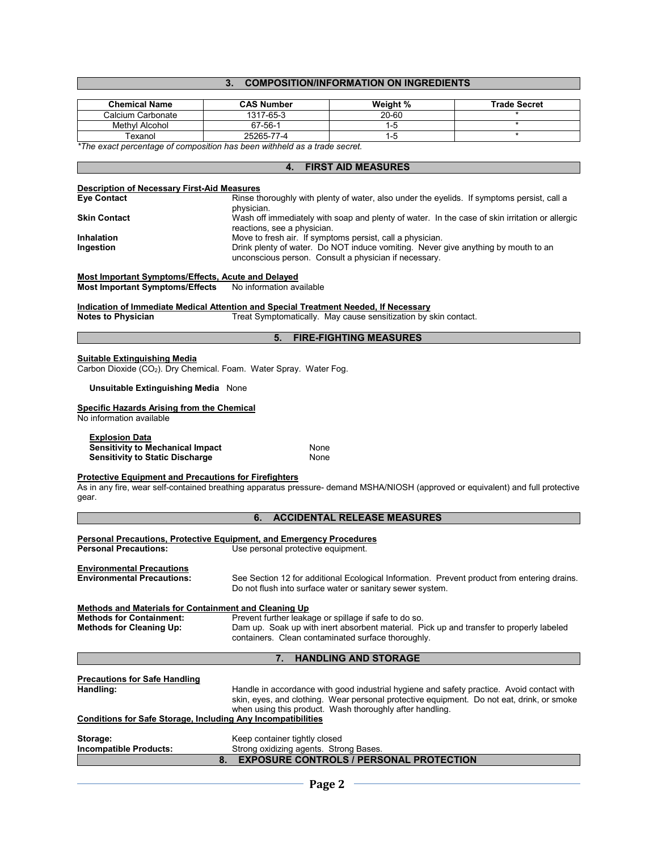## **3. COMPOSITION/INFORMATION ON INGREDIENTS**

| <b>Chemical Name</b>                                                                                                                                                   | <b>CAS Number</b>                                                                    | Weight %                                                                                | <b>Trade Secret</b>                                                                                                              |  |  |  |
|------------------------------------------------------------------------------------------------------------------------------------------------------------------------|--------------------------------------------------------------------------------------|-----------------------------------------------------------------------------------------|----------------------------------------------------------------------------------------------------------------------------------|--|--|--|
| Calcium Carbonate                                                                                                                                                      | 1317-65-3                                                                            | $20 - 60$                                                                               |                                                                                                                                  |  |  |  |
| Methyl Alcohol<br>Texanol                                                                                                                                              | 67-56-1<br>25265-77-4                                                                | $1-5$                                                                                   |                                                                                                                                  |  |  |  |
| $1 - 5$<br>*The exact percentage of composition has been withheld as a trade secret.                                                                                   |                                                                                      |                                                                                         |                                                                                                                                  |  |  |  |
|                                                                                                                                                                        |                                                                                      |                                                                                         |                                                                                                                                  |  |  |  |
|                                                                                                                                                                        | 4.                                                                                   | <b>FIRST AID MEASURES</b>                                                               |                                                                                                                                  |  |  |  |
|                                                                                                                                                                        |                                                                                      |                                                                                         |                                                                                                                                  |  |  |  |
| <b>Description of Necessary First-Aid Measures</b><br><b>Eye Contact</b><br>Rinse thoroughly with plenty of water, also under the eyelids. If symptoms persist, call a |                                                                                      |                                                                                         |                                                                                                                                  |  |  |  |
|                                                                                                                                                                        | physician.                                                                           |                                                                                         |                                                                                                                                  |  |  |  |
| Skin Contact                                                                                                                                                           |                                                                                      |                                                                                         | Wash off immediately with soap and plenty of water. In the case of skin irritation or allergic                                   |  |  |  |
| Inhalation                                                                                                                                                             | reactions, see a physician.                                                          | Move to fresh air. If symptoms persist, call a physician.                               |                                                                                                                                  |  |  |  |
| Ingestion                                                                                                                                                              |                                                                                      | Drink plenty of water. Do NOT induce vomiting. Never give anything by mouth to an       |                                                                                                                                  |  |  |  |
|                                                                                                                                                                        |                                                                                      | unconscious person. Consult a physician if necessary.                                   |                                                                                                                                  |  |  |  |
|                                                                                                                                                                        |                                                                                      |                                                                                         |                                                                                                                                  |  |  |  |
| Most Important Symptoms/Effects, Acute and Delayed<br><b>Most Important Symptoms/Effects</b>                                                                           | No information available                                                             |                                                                                         |                                                                                                                                  |  |  |  |
|                                                                                                                                                                        |                                                                                      |                                                                                         |                                                                                                                                  |  |  |  |
|                                                                                                                                                                        | Indication of Immediate Medical Attention and Special Treatment Needed, If Necessary |                                                                                         |                                                                                                                                  |  |  |  |
| <b>Notes to Physician</b>                                                                                                                                              |                                                                                      | Treat Symptomatically. May cause sensitization by skin contact.                         |                                                                                                                                  |  |  |  |
|                                                                                                                                                                        | 5.                                                                                   | <b>FIRE-FIGHTING MEASURES</b>                                                           |                                                                                                                                  |  |  |  |
|                                                                                                                                                                        |                                                                                      |                                                                                         |                                                                                                                                  |  |  |  |
| Suitable Extinguishing Media                                                                                                                                           | Carbon Dioxide (CO <sub>2</sub> ). Dry Chemical. Foam. Water Spray. Water Fog.       |                                                                                         |                                                                                                                                  |  |  |  |
|                                                                                                                                                                        |                                                                                      |                                                                                         |                                                                                                                                  |  |  |  |
| <b>Unsuitable Extinguishing Media None</b>                                                                                                                             |                                                                                      |                                                                                         |                                                                                                                                  |  |  |  |
|                                                                                                                                                                        |                                                                                      |                                                                                         |                                                                                                                                  |  |  |  |
| <b>Specific Hazards Arising from the Chemical</b><br>No information available                                                                                          |                                                                                      |                                                                                         |                                                                                                                                  |  |  |  |
|                                                                                                                                                                        |                                                                                      |                                                                                         |                                                                                                                                  |  |  |  |
| <b>Explosion Data</b>                                                                                                                                                  |                                                                                      |                                                                                         |                                                                                                                                  |  |  |  |
| <b>Sensitivity to Mechanical Impact</b><br><b>Sensitivity to Static Discharge</b>                                                                                      | None<br>None                                                                         |                                                                                         |                                                                                                                                  |  |  |  |
|                                                                                                                                                                        |                                                                                      |                                                                                         |                                                                                                                                  |  |  |  |
| <b>Protective Equipment and Precautions for Firefighters</b>                                                                                                           |                                                                                      |                                                                                         |                                                                                                                                  |  |  |  |
| gear.                                                                                                                                                                  |                                                                                      |                                                                                         | As in any fire, wear self-contained breathing apparatus pressure- demand MSHA/NIOSH (approved or equivalent) and full protective |  |  |  |
|                                                                                                                                                                        |                                                                                      |                                                                                         |                                                                                                                                  |  |  |  |
|                                                                                                                                                                        | 6.                                                                                   | <b>ACCIDENTAL RELEASE MEASURES</b>                                                      |                                                                                                                                  |  |  |  |
|                                                                                                                                                                        | Personal Precautions, Protective Equipment, and Emergency Procedures                 |                                                                                         |                                                                                                                                  |  |  |  |
| <b>Personal Precautions:</b>                                                                                                                                           | Use personal protective equipment.                                                   |                                                                                         |                                                                                                                                  |  |  |  |
|                                                                                                                                                                        |                                                                                      |                                                                                         |                                                                                                                                  |  |  |  |
| <b>Environmental Precautions</b>                                                                                                                                       |                                                                                      |                                                                                         |                                                                                                                                  |  |  |  |
| <b>Environmental Precautions:</b>                                                                                                                                      |                                                                                      | Do not flush into surface water or sanitary sewer system.                               | See Section 12 for additional Ecological Information. Prevent product from entering drains.                                      |  |  |  |
|                                                                                                                                                                        |                                                                                      |                                                                                         |                                                                                                                                  |  |  |  |
| Methods and Materials for Containment and Cleaning Up                                                                                                                  |                                                                                      |                                                                                         |                                                                                                                                  |  |  |  |
| <b>Methods for Containment:</b><br><b>Methods for Cleaning Up:</b>                                                                                                     | Prevent further leakage or spillage if safe to do so.                                | Dam up. Soak up with inert absorbent material. Pick up and transfer to properly labeled |                                                                                                                                  |  |  |  |
|                                                                                                                                                                        |                                                                                      | containers. Clean contaminated surface thoroughly.                                      |                                                                                                                                  |  |  |  |
|                                                                                                                                                                        |                                                                                      |                                                                                         |                                                                                                                                  |  |  |  |
|                                                                                                                                                                        | 7.                                                                                   | <b>HANDLING AND STORAGE</b>                                                             |                                                                                                                                  |  |  |  |
| <b>Precautions for Safe Handling</b>                                                                                                                                   |                                                                                      |                                                                                         |                                                                                                                                  |  |  |  |
| Handling:                                                                                                                                                              |                                                                                      |                                                                                         | Handle in accordance with good industrial hygiene and safety practice. Avoid contact with                                        |  |  |  |
|                                                                                                                                                                        |                                                                                      |                                                                                         | skin, eyes, and clothing. Wear personal protective equipment. Do not eat, drink, or smoke                                        |  |  |  |
|                                                                                                                                                                        | when using this product. Wash thoroughly after handling.                             |                                                                                         |                                                                                                                                  |  |  |  |
| <b>Conditions for Safe Storage, Including Any Incompatibilities</b>                                                                                                    |                                                                                      |                                                                                         |                                                                                                                                  |  |  |  |
| Storage:                                                                                                                                                               | Keep container tightly closed                                                        |                                                                                         |                                                                                                                                  |  |  |  |
| <b>Incompatible Products:</b>                                                                                                                                          | Strong oxidizing agents. Strong Bases.                                               |                                                                                         |                                                                                                                                  |  |  |  |
|                                                                                                                                                                        | 8.                                                                                   | <b>EXPOSURE CONTROLS / PERSONAL PROTECTION</b>                                          |                                                                                                                                  |  |  |  |
|                                                                                                                                                                        |                                                                                      |                                                                                         |                                                                                                                                  |  |  |  |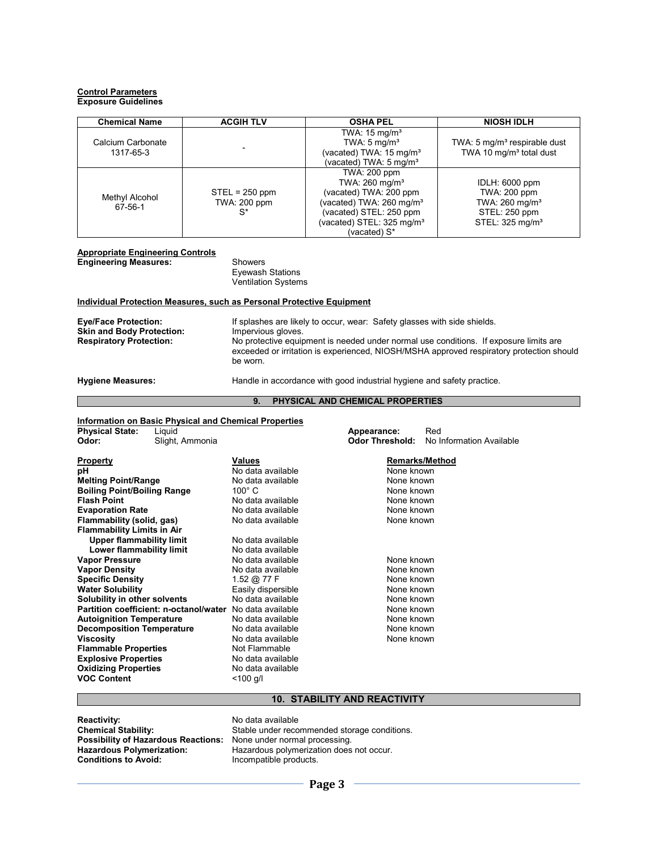#### **Control Parameters Exposure Guidelines**

| <b>Chemical Name</b>           | <b>ACGIH TLV</b>                          | <b>OSHA PEL</b>                                                                                                                                                                                  | <b>NIOSH IDLH</b>                                                                                            |
|--------------------------------|-------------------------------------------|--------------------------------------------------------------------------------------------------------------------------------------------------------------------------------------------------|--------------------------------------------------------------------------------------------------------------|
| Calcium Carbonate<br>1317-65-3 |                                           | TWA: $15 \text{ mg/m}^3$<br>TWA: $5 \text{ mg/m}^3$<br>(vacated) TWA: 15 mg/m <sup>3</sup><br>(vacated) TWA: 5 mg/m <sup>3</sup>                                                                 | TWA: 5 mg/m <sup>3</sup> respirable dust<br>TWA 10 mg/m <sup>3</sup> total dust                              |
| Methyl Alcohol<br>67-56-1      | $STEL = 250$ ppm<br>TWA: 200 ppm<br>$S^*$ | TWA: 200 ppm<br>TWA: 260 mg/m <sup>3</sup><br>(vacated) TWA: 200 ppm<br>(vacated) TWA: 260 mg/m <sup>3</sup><br>(vacated) STEL: 250 ppm<br>(vacated) STEL: 325 mg/m <sup>3</sup><br>(vacated) S* | IDLH: 6000 ppm<br>TWA: 200 ppm<br>TWA: 260 mg/m <sup>3</sup><br>STEL: 250 ppm<br>STEL: 325 mg/m <sup>3</sup> |

### **Appropriate Engineering Controls**

**Engineering Measures:** Showers Eyewash Stations Ventilation Systems

### **Individual Protection Measures, such as Personal Protective Equipment**

| <b>Eye/Face Protection:</b>      | If splashes are likely to occur, wear: Safety glasses with side shields.                                                                                                                      |  |  |
|----------------------------------|-----------------------------------------------------------------------------------------------------------------------------------------------------------------------------------------------|--|--|
| <b>Skin and Body Protection:</b> | Impervious gloves.                                                                                                                                                                            |  |  |
| <b>Respiratory Protection:</b>   | No protective equipment is needed under normal use conditions. If exposure limits are<br>exceeded or irritation is experienced, NIOSH/MSHA approved respiratory protection should<br>be worn. |  |  |

**Hygiene Measures:** Handle in accordance with good industrial hygiene and safety practice.

#### **9. PHYSICAL AND CHEMICAL PROPERTIES**

#### **Information on Basic Physical and Chemical Properties**

| <b>Physical State:</b>             | Liquid                                 |                    | Appearance:            |            | Red                      |
|------------------------------------|----------------------------------------|--------------------|------------------------|------------|--------------------------|
| Odor:                              | Slight, Ammonia                        |                    | <b>Odor Threshold:</b> |            | No Information Available |
|                                    |                                        |                    |                        |            |                          |
| <b>Property</b>                    |                                        | Values             |                        |            | <b>Remarks/Method</b>    |
| рH                                 |                                        | No data available  |                        | None known |                          |
| <b>Melting Point/Range</b>         |                                        | No data available  |                        | None known |                          |
| <b>Boiling Point/Boiling Range</b> |                                        | $100^\circ$ C      |                        | None known |                          |
| <b>Flash Point</b>                 |                                        | No data available  |                        | None known |                          |
| <b>Evaporation Rate</b>            |                                        | No data available  |                        | None known |                          |
| Flammability (solid, gas)          |                                        | No data available  |                        | None known |                          |
| <b>Flammability Limits in Air</b>  |                                        |                    |                        |            |                          |
| <b>Upper flammability limit</b>    |                                        | No data available  |                        |            |                          |
| Lower flammability limit           |                                        | No data available  |                        |            |                          |
| <b>Vapor Pressure</b>              |                                        | No data available  |                        | None known |                          |
| <b>Vapor Density</b>               |                                        | No data available  |                        | None known |                          |
| <b>Specific Density</b>            |                                        | 1.52 @ 77 F        |                        | None known |                          |
| <b>Water Solubility</b>            |                                        | Easily dispersible |                        | None known |                          |
| Solubility in other solvents       |                                        | No data available  |                        | None known |                          |
|                                    | Partition coefficient: n-octanol/water | No data available  |                        | None known |                          |
| <b>Autoignition Temperature</b>    |                                        | No data available  |                        | None known |                          |
| <b>Decomposition Temperature</b>   |                                        | No data available  |                        | None known |                          |
| <b>Viscosity</b>                   |                                        | No data available  |                        | None known |                          |
| <b>Flammable Properties</b>        |                                        | Not Flammable      |                        |            |                          |
| <b>Explosive Properties</b>        |                                        | No data available  |                        |            |                          |
| <b>Oxidizing Properties</b>        |                                        | No data available  |                        |            |                          |
| <b>VOC Content</b>                 |                                        | $<$ 100 g/l        |                        |            |                          |
|                                    |                                        |                    |                        |            |                          |

### **10. STABILITY AND REACTIVITY**

**Reactivity:** No data available<br> **Chemical Stability:** Stable under reco **Possibility of Hazardous Reactions:<br>Hazardous Polymerization: Conditions to Avoid:** Incompatible products.

Stable under recommended storage conditions.<br>None under normal processing. Hazardous polymerization does not occur.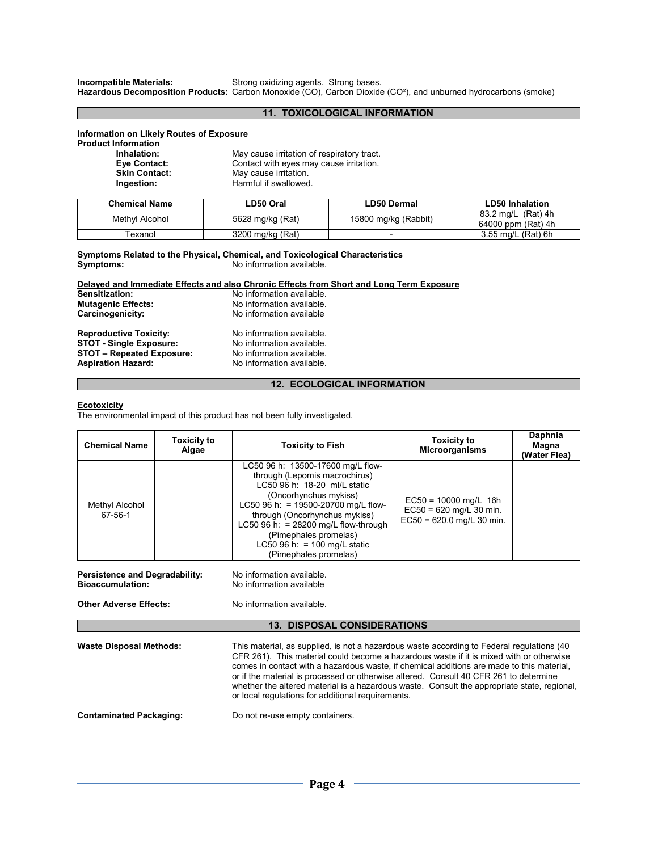**Incompatible Materials:** Strong oxidizing agents. Strong bases.

**Hazardous Decomposition Products:** Carbon Monoxide (CO), Carbon Dioxide (CO²), and unburned hydrocarbons (smoke)

### **11. TOXICOLOGICAL INFORMATION**

#### **Information on Likely Routes of Exposure**

**Product Information** 

| May cause irritation of respiratory tract. |
|--------------------------------------------|
| Contact with eyes may cause irritation.    |
| May cause irritation.                      |
| Harmful if swallowed.                      |
|                                            |

| <b>Chemical Name</b> | ∟D50 Oral        | LD50 Dermal              | LD50 Inhalation                          |
|----------------------|------------------|--------------------------|------------------------------------------|
| Methyl Alcohol       | 5628 mg/kg (Rat) | 15800 mg/kg (Rabbit)     | 83.2 mg/L (Rat) 4h<br>64000 ppm (Rat) 4h |
| Texanol              | 3200 mg/kg (Rat) | $\overline{\phantom{0}}$ | 3.55 mg/L (Rat) 6h                       |

#### **Symptoms Related to the Physical, Chemical, and Toxicological Characteristics Symptoms:** No information available.

**Delayed and Immediate Effects and also Chronic Effects from Short and Long Term Exposure** 

| Sensitization:                   | No information available. |
|----------------------------------|---------------------------|
| <b>Mutagenic Effects:</b>        | No information available. |
| Carcinogenicity:                 | No information available  |
| <b>Reproductive Toxicity:</b>    | No information available. |
| <b>STOT - Single Exposure:</b>   | No information available. |
| <b>STOT - Repeated Exposure:</b> | No information available. |
| <b>Aspiration Hazard:</b>        | No information available. |

### **12. ECOLOGICAL INFORMATION**

#### **Ecotoxicity**

The environmental impact of this product has not been fully investigated.

| <b>Chemical Name</b>                                                                                                                                                                                                                                                                                                                                                                                                                                                                                                                                              | <b>Toxicity to</b><br>Algae | <b>Toxicity to Fish</b>                                                                                                                                                                                                                                                                                                         | <b>Toxicity to</b><br>Microorganisms                                                | Daphnia<br>Magna<br>(Water Flea) |  |  |
|-------------------------------------------------------------------------------------------------------------------------------------------------------------------------------------------------------------------------------------------------------------------------------------------------------------------------------------------------------------------------------------------------------------------------------------------------------------------------------------------------------------------------------------------------------------------|-----------------------------|---------------------------------------------------------------------------------------------------------------------------------------------------------------------------------------------------------------------------------------------------------------------------------------------------------------------------------|-------------------------------------------------------------------------------------|----------------------------------|--|--|
| Methyl Alcohol<br>67-56-1                                                                                                                                                                                                                                                                                                                                                                                                                                                                                                                                         |                             | LC50 96 h: 13500-17600 mg/L flow-<br>through (Lepomis macrochirus)<br>LC50 96 h: 18-20 ml/L static<br>(Oncorhynchus mykiss)<br>LC50 96 h: = 19500-20700 mg/L flow-<br>through (Oncorhynchus mykiss)<br>LC50 96 h: = $28200$ mg/L flow-through<br>(Pimephales promelas)<br>LC50 96 h: = 100 mg/L static<br>(Pimephales promelas) | $EC50 = 10000$ mg/L 16h<br>$EC50 = 620$ mg/L 30 min.<br>$EC50 = 620.0$ mg/L 30 min. |                                  |  |  |
| <b>Persistence and Degradability:</b><br><b>Bioaccumulation:</b>                                                                                                                                                                                                                                                                                                                                                                                                                                                                                                  |                             | No information available.<br>No information available                                                                                                                                                                                                                                                                           |                                                                                     |                                  |  |  |
| <b>Other Adverse Effects:</b>                                                                                                                                                                                                                                                                                                                                                                                                                                                                                                                                     |                             | No information available                                                                                                                                                                                                                                                                                                        |                                                                                     |                                  |  |  |
|                                                                                                                                                                                                                                                                                                                                                                                                                                                                                                                                                                   |                             | <b>13. DISPOSAL CONSIDERATIONS</b>                                                                                                                                                                                                                                                                                              |                                                                                     |                                  |  |  |
| This material, as supplied, is not a hazardous waste according to Federal regulations (40)<br><b>Waste Disposal Methods:</b><br>CFR 261). This material could become a hazardous waste if it is mixed with or otherwise<br>comes in contact with a hazardous waste, if chemical additions are made to this material,<br>or if the material is processed or otherwise altered. Consult 40 CFR 261 to determine<br>whether the altered material is a hazardous waste. Consult the appropriate state, regional,<br>or local regulations for additional requirements. |                             |                                                                                                                                                                                                                                                                                                                                 |                                                                                     |                                  |  |  |
| <b>Contaminated Packaging:</b><br>Do not re-use empty containers.                                                                                                                                                                                                                                                                                                                                                                                                                                                                                                 |                             |                                                                                                                                                                                                                                                                                                                                 |                                                                                     |                                  |  |  |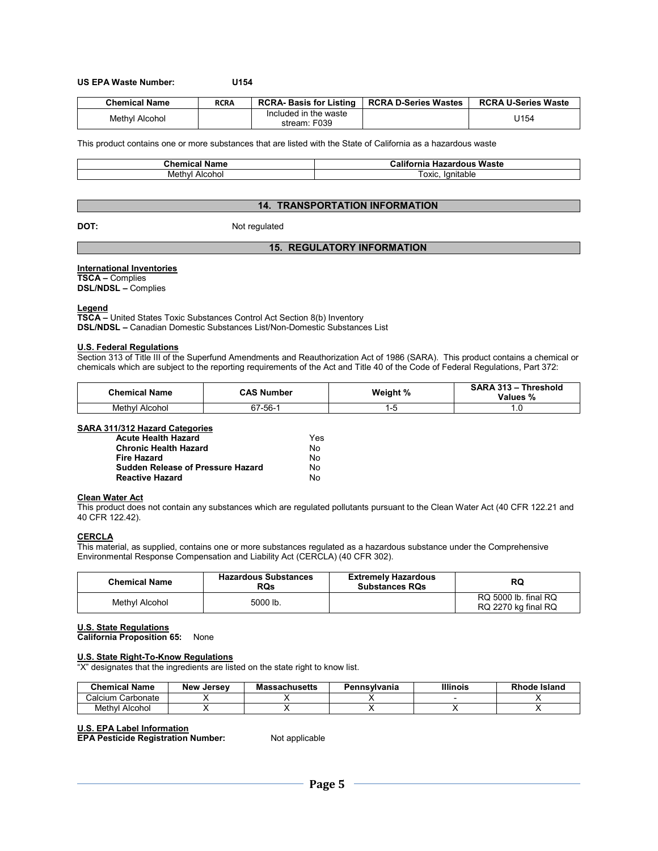#### **US EPA Waste Number: U154**

| <b>Chemical Name</b> | <b>RCRA</b> | <b>RCRA-Basis for Listing</b>         | <b>RCRA D-Series Wastes</b> | <b>RCRA U-Series Waste</b> |
|----------------------|-------------|---------------------------------------|-----------------------------|----------------------------|
| Methyl Alcohol       |             | Included in the waste<br>stream: F039 |                             | J154                       |

This product contains one or more substances that are listed with the State of California as a hazardous waste

| Name<br>$\mathsf{u}$ nemi<br>"mıcal | .<br>Waste<br>California<br>. Hazardous |
|-------------------------------------|-----------------------------------------|
| Meth<br>Alcohol<br>nvı              | lanitable<br><b>OXIC</b>                |

#### **14. TRANSPORTATION INFORMATION**

**DOT:** Not regulated

### **15. REGULATORY INFORMATION**

#### **International Inventories**

**TSCA –** Complies **DSL/NDSL –** Complies

## **Legend**

**TSCA –** United States Toxic Substances Control Act Section 8(b) Inventory **DSL/NDSL –** Canadian Domestic Substances List/Non-Domestic Substances List

#### **U.S. Federal Regulations**

Section 313 of Title III of the Superfund Amendments and Reauthorization Act of 1986 (SARA). This product contains a chemical or chemicals which are subject to the reporting requirements of the Act and Title 40 of the Code of Federal Regulations, Part 372:

| <b>Chemical Name</b> | CAS Number | Weight % | SARA 313 - Threshold<br>Values % |
|----------------------|------------|----------|----------------------------------|
| Methyl Alcohol       | 67-56-1    | - ت      | $\cdot \cdot$                    |

#### **SARA 311/312 Hazard Categories**

| <b>Acute Health Hazard</b>               | Yes |
|------------------------------------------|-----|
| <b>Chronic Health Hazard</b>             | Nο  |
| <b>Fire Hazard</b>                       | Nο  |
| <b>Sudden Release of Pressure Hazard</b> | N٥  |
| <b>Reactive Hazard</b>                   | N٥  |

#### **Clean Water Act**

This product does not contain any substances which are regulated pollutants pursuant to the Clean Water Act (40 CFR 122.21 and 40 CFR 122.42).

#### **CERCLA**

This material, as supplied, contains one or more substances regulated as a hazardous substance under the Comprehensive Environmental Response Compensation and Liability Act (CERCLA) (40 CFR 302).

| <b>Chemical Name</b> | <b>Hazardous Substances</b><br><b>RQs</b> | <b>Extremely Hazardous</b><br><b>Substances RQs</b> | RQ                                          |
|----------------------|-------------------------------------------|-----------------------------------------------------|---------------------------------------------|
| Methyl Alcohol       | 5000 lb.                                  |                                                     | RQ 5000 lb. final RQ<br>RQ 2270 kg final RQ |

#### **U.S. State Regulations**

**California Proposition 65:** None

#### **U.S. State Right-To-Know Regulations**

"X" designates that the ingredients are listed on the state right to know list.

| <b>Chemical Name</b> | <b>New Jersey</b> | <b>Massachusetts</b> | Pennsylvania | Illinois | Rhode Island |
|----------------------|-------------------|----------------------|--------------|----------|--------------|
| Calcium Carbonate    |                   |                      |              |          |              |
| Methvl Alcohol       |                   |                      |              |          |              |

#### **U.S. EPA Label Information**

**EPA Pesticide Registration Number:** Not applicable